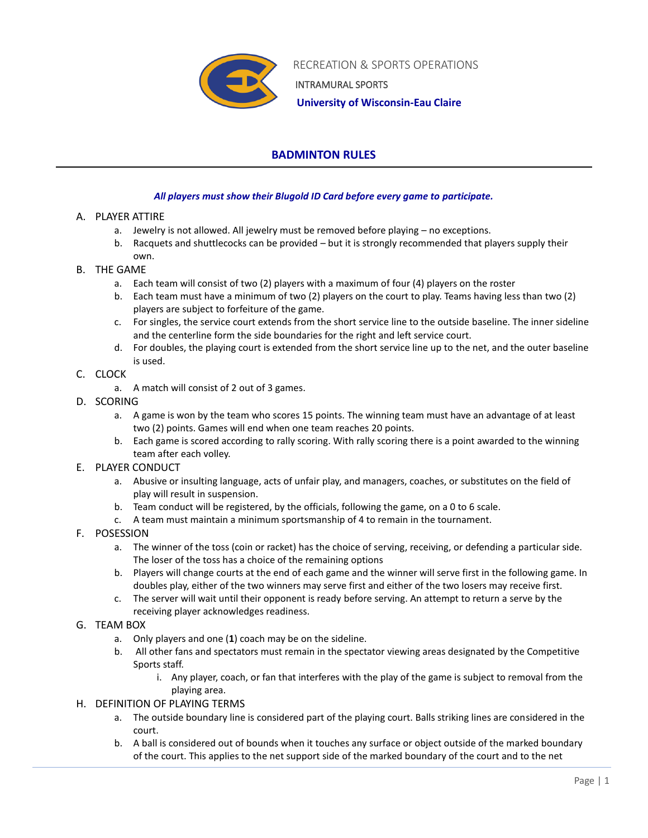

 RECREATION & SPORTS OPERATIONS INTRAMURAL SPORTS

 **University of Wisconsin-Eau Claire**

## **BADMINTON RULES**

## *All players must show their Blugold ID Card before every game to participate.*

- A. PLAYER ATTIRE
	- a. Jewelry is not allowed. All jewelry must be removed before playing no exceptions.
	- b. Racquets and shuttlecocks can be provided but it is strongly recommended that players supply their own.
- B. THE GAME
	- a. Each team will consist of two (2) players with a maximum of four (4) players on the roster
	- b. Each team must have a minimum of two (2) players on the court to play. Teams having less than two (2) players are subject to forfeiture of the game.
	- c. For singles, the service court extends from the short service line to the outside baseline. The inner sideline and the centerline form the side boundaries for the right and left service court.
	- d. For doubles, the playing court is extended from the short service line up to the net, and the outer baseline is used.
- C. CLOCK
	- a. A match will consist of 2 out of 3 games.
- D. SCORING
	- a. A game is won by the team who scores 15 points. The winning team must have an advantage of at least two (2) points. Games will end when one team reaches 20 points.
	- b. Each game is scored according to rally scoring. With rally scoring there is a point awarded to the winning team after each volley.
- E. PLAYER CONDUCT
	- a. Abusive or insulting language, acts of unfair play, and managers, coaches, or substitutes on the field of play will result in suspension.
	- b. Team conduct will be registered, by the officials, following the game, on a 0 to 6 scale.
	- c. A team must maintain a minimum sportsmanship of 4 to remain in the tournament.
- F. POSESSION
	- a. The winner of the toss (coin or racket) has the choice of serving, receiving, or defending a particular side. The loser of the toss has a choice of the remaining options
	- b. Players will change courts at the end of each game and the winner will serve first in the following game. In doubles play, either of the two winners may serve first and either of the two losers may receive first.
	- c. The server will wait until their opponent is ready before serving. An attempt to return a serve by the receiving player acknowledges readiness.
- G. TEAM BOX
	- a. Only players and one (**1**) coach may be on the sideline.
	- b. All other fans and spectators must remain in the spectator viewing areas designated by the Competitive Sports staff.
		- i. Any player, coach, or fan that interferes with the play of the game is subject to removal from the playing area.
- H. DEFINITION OF PLAYING TERMS
	- a. The outside boundary line is considered part of the playing court. Balls striking lines are considered in the court.
	- b. A ball is considered out of bounds when it touches any surface or object outside of the marked boundary of the court. This applies to the net support side of the marked boundary of the court and to the net